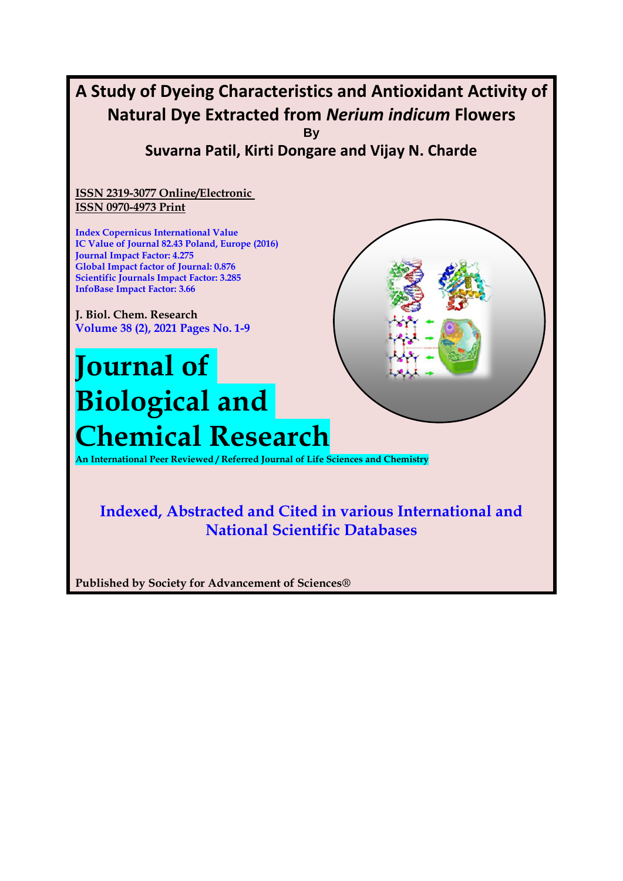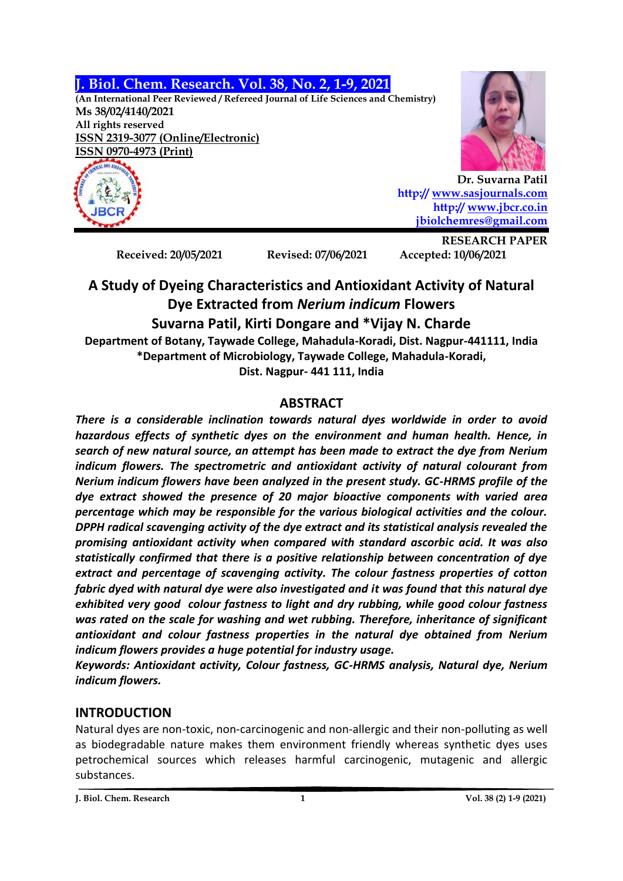## **J. Biol. Chem. Research. Vol. 38, No. 2, 1-9, 2021**

**(An International Peer Reviewed / Refereed Journal of Life Sciences and Chemistry) Ms 38/02/4140/2021 All rights reserved ISSN 2319-3077 (Online/Electronic) ISSN 0970-4973 (Print)**





**Dr. Suvarna Patil http:// [www.sasjournals.com](http://www.sasjournals.com/) http:/[/ www.jbcr.co.in](http://www.jbcr.co.in/) [jbiolchemres@gmail.com](mailto:jbiolchemres@gmail.com)**

**Received: 20/05/2021 Revised: 07/06/2021 Accepted: 10/06/2021**

**RESEARCH PAPER**

# **A Study of Dyeing Characteristics and Antioxidant Activity of Natural Dye Extracted from** *Nerium indicum* **Flowers Suvarna Patil, Kirti Dongare and \*Vijay N. Charde Department of Botany, Taywade College, Mahadula-Koradi, Dist. Nagpur-441111, India \*Department of Microbiology, Taywade College, Mahadula-Koradi,**

**Dist. Nagpur- 441 111, India**

## **ABSTRACT**

*There is a considerable inclination towards natural dyes worldwide in order to avoid hazardous effects of synthetic dyes on the environment and human health. Hence, in search of new natural source, an attempt has been made to extract the dye from Nerium indicum flowers. The spectrometric and antioxidant activity of natural colourant from Nerium indicum flowers have been analyzed in the present study. GC-HRMS profile of the dye extract showed the presence of 20 major bioactive components with varied area percentage which may be responsible for the various biological activities and the colour. DPPH radical scavenging activity of the dye extract and its statistical analysis revealed the promising antioxidant activity when compared with standard ascorbic acid. It was also statistically confirmed that there is a positive relationship between concentration of dye extract and percentage of scavenging activity. The colour fastness properties of cotton fabric dyed with natural dye were also investigated and it was found that this natural dye exhibited very good colour fastness to light and dry rubbing, while good colour fastness was rated on the scale for washing and wet rubbing. Therefore, inheritance of significant antioxidant and colour fastness properties in the natural dye obtained from Nerium indicum flowers provides a huge potential for industry usage.* 

*Keywords: Antioxidant activity, Colour fastness, GC-HRMS analysis, Natural dye, Nerium indicum flowers.* 

## **INTRODUCTION**

Natural dyes are non-toxic, non-carcinogenic and non-allergic and their non-polluting as well as biodegradable nature makes them environment friendly whereas synthetic dyes uses petrochemical sources which releases harmful carcinogenic, mutagenic and allergic substances.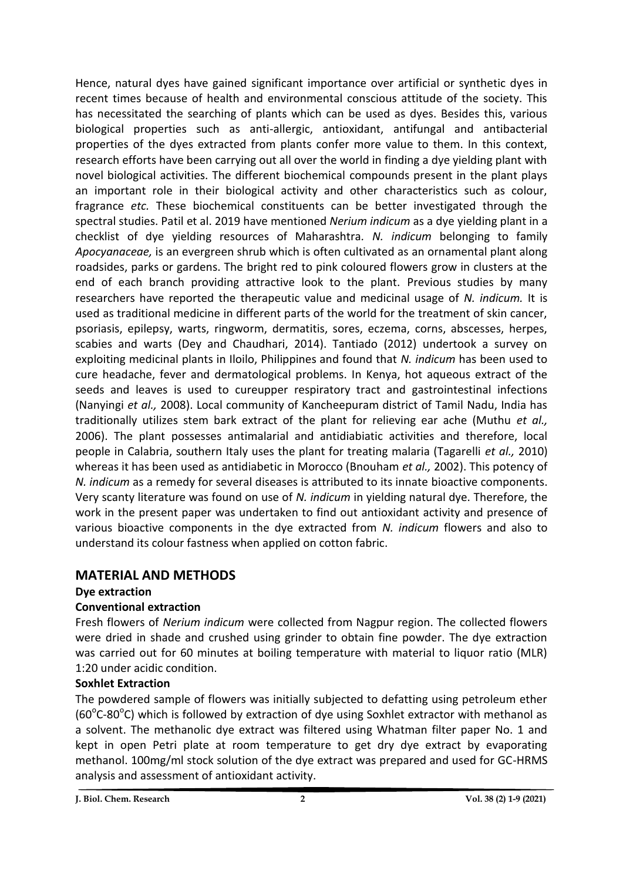Hence, natural dyes have gained significant importance over artificial or synthetic dyes in recent times because of health and environmental conscious attitude of the society. This has necessitated the searching of plants which can be used as dyes. Besides this, various biological properties such as anti-allergic, antioxidant, antifungal and antibacterial properties of the dyes extracted from plants confer more value to them. In this context, research efforts have been carrying out all over the world in finding a dye yielding plant with novel biological activities. The different biochemical compounds present in the plant plays an important role in their biological activity and other characteristics such as colour, fragrance *etc.* These biochemical constituents can be better investigated through the spectral studies. Patil et al. 2019 have mentioned *Nerium indicum* as a dye yielding plant in a checklist of dye yielding resources of Maharashtra*. N. indicum* belonging to family *Apocyanaceae,* is an evergreen shrub which is often cultivated as an ornamental plant along roadsides, parks or gardens. The bright red to pink coloured flowers grow in clusters at the end of each branch providing attractive look to the plant. Previous studies by many researchers have reported the therapeutic value and medicinal usage of *N. indicum.* It is used as traditional medicine in different parts of the world for the treatment of skin cancer, psoriasis, epilepsy, warts, ringworm, dermatitis, sores, eczema, corns, abscesses, herpes, scabies and warts (Dey and Chaudhari, 2014). Tantiado (2012) undertook a survey on exploiting medicinal plants in Iloilo, Philippines and found that *N. indicum* has been used to cure headache, fever and dermatological problems. In Kenya, hot aqueous extract of the seeds and leaves is used to cureupper respiratory tract and gastrointestinal infections (Nanyingi *et al.,* 2008). Local community of Kancheepuram district of Tamil Nadu, India has traditionally utilizes stem bark extract of the plant for relieving ear ache (Muthu *et al.,* 2006). The plant possesses antimalarial and antidiabiatic activities and therefore, local people in Calabria, southern Italy uses the plant for treating malaria (Tagarelli *et al.,* 2010) whereas it has been used as antidiabetic in Morocco (Bnouham *et al.,* 2002). This potency of *N. indicum* as a remedy for several diseases is attributed to its innate bioactive components. Very scanty literature was found on use of *N. indicum* in yielding natural dye. Therefore, the work in the present paper was undertaken to find out antioxidant activity and presence of various bioactive components in the dye extracted from *N. indicum* flowers and also to understand its colour fastness when applied on cotton fabric.

## **MATERIAL AND METHODS**

**Dye extraction**

## **Conventional extraction**

Fresh flowers of *Nerium indicum* were collected from Nagpur region. The collected flowers were dried in shade and crushed using grinder to obtain fine powder. The dye extraction was carried out for 60 minutes at boiling temperature with material to liquor ratio (MLR) 1:20 under acidic condition.

## **Soxhlet Extraction**

The powdered sample of flowers was initially subjected to defatting using petroleum ether (60°C-80°C) which is followed by extraction of dye using Soxhlet extractor with methanol as a solvent. The methanolic dye extract was filtered using Whatman filter paper No. 1 and kept in open Petri plate at room temperature to get dry dye extract by evaporating methanol. 100mg/ml stock solution of the dye extract was prepared and used for GC-HRMS analysis and assessment of antioxidant activity.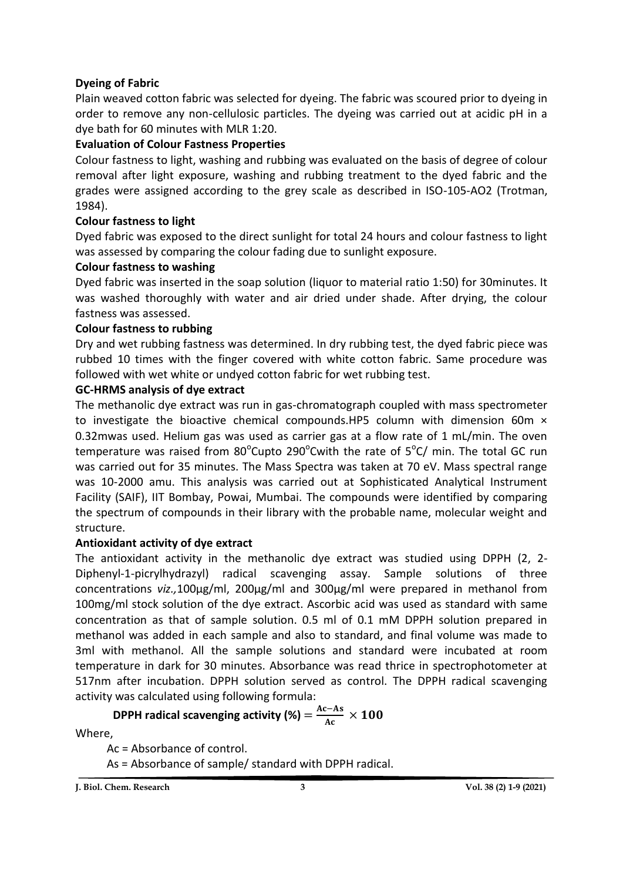## **Dyeing of Fabric**

Plain weaved cotton fabric was selected for dyeing. The fabric was scoured prior to dyeing in order to remove any non-cellulosic particles. The dyeing was carried out at acidic pH in a dye bath for 60 minutes with MLR 1:20.

## **Evaluation of Colour Fastness Properties**

Colour fastness to light, washing and rubbing was evaluated on the basis of degree of colour removal after light exposure, washing and rubbing treatment to the dyed fabric and the grades were assigned according to the grey scale as described in ISO-105-AO2 (Trotman, 1984).

## **Colour fastness to light**

Dyed fabric was exposed to the direct sunlight for total 24 hours and colour fastness to light was assessed by comparing the colour fading due to sunlight exposure.

## **Colour fastness to washing**

Dyed fabric was inserted in the soap solution (liquor to material ratio 1:50) for 30minutes. It was washed thoroughly with water and air dried under shade. After drying, the colour fastness was assessed.

### **Colour fastness to rubbing**

Dry and wet rubbing fastness was determined. In dry rubbing test, the dyed fabric piece was rubbed 10 times with the finger covered with white cotton fabric. Same procedure was followed with wet white or undyed cotton fabric for wet rubbing test.

## **GC-HRMS analysis of dye extract**

The methanolic dye extract was run in gas-chromatograph coupled with mass spectrometer to investigate the bioactive chemical compounds.HP5 column with dimension 60m × 0.32mwas used. Helium gas was used as carrier gas at a flow rate of 1 mL/min. The oven temperature was raised from 80 $^{\circ}$ Cupto 290 $^{\circ}$ Cwith the rate of 5 $^{\circ}$ C/ min. The total GC run was carried out for 35 minutes. The Mass Spectra was taken at 70 eV. Mass spectral range was 10-2000 amu. This analysis was carried out at Sophisticated Analytical Instrument Facility (SAIF), IIT Bombay, Powai, Mumbai. The compounds were identified by comparing the spectrum of compounds in their library with the probable name, molecular weight and structure.

### **Antioxidant activity of dye extract**

The antioxidant activity in the methanolic dye extract was studied using DPPH (2, 2- Diphenyl-1-picrylhydrazyl) radical scavenging assay. Sample solutions of three concentrations *viz.,*100µg/ml, 200µg/ml and 300µg/ml were prepared in methanol from 100mg/ml stock solution of the dye extract. Ascorbic acid was used as standard with same concentration as that of sample solution. 0.5 ml of 0.1 mM DPPH solution prepared in methanol was added in each sample and also to standard, and final volume was made to 3ml with methanol. All the sample solutions and standard were incubated at room temperature in dark for 30 minutes. Absorbance was read thrice in spectrophotometer at 517nm after incubation. DPPH solution served as control. The DPPH radical scavenging activity was calculated using following formula:

#### **DPPH radical scavenging activity (%)**   $\frac{c-As}{Ac}$   $\times$

Where,

Ac = Absorbance of control.

As = Absorbance of sample/ standard with DPPH radical.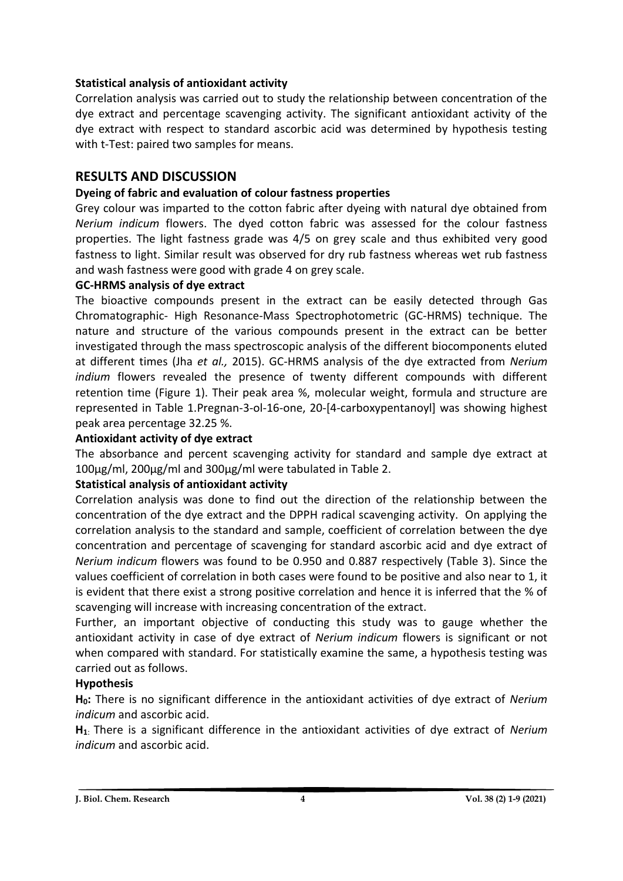## **Statistical analysis of antioxidant activity**

Correlation analysis was carried out to study the relationship between concentration of the dye extract and percentage scavenging activity. The significant antioxidant activity of the dye extract with respect to standard ascorbic acid was determined by hypothesis testing with t-Test: paired two samples for means.

## **RESULTS AND DISCUSSION**

## **Dyeing of fabric and evaluation of colour fastness properties**

Grey colour was imparted to the cotton fabric after dyeing with natural dye obtained from *Nerium indicum* flowers. The dyed cotton fabric was assessed for the colour fastness properties. The light fastness grade was 4/5 on grey scale and thus exhibited very good fastness to light. Similar result was observed for dry rub fastness whereas wet rub fastness and wash fastness were good with grade 4 on grey scale.

### **GC-HRMS analysis of dye extract**

The bioactive compounds present in the extract can be easily detected through Gas Chromatographic- High Resonance-Mass Spectrophotometric (GC-HRMS) technique. The nature and structure of the various compounds present in the extract can be better investigated through the mass spectroscopic analysis of the different biocomponents eluted at different times (Jha *et al.,* 2015). GC-HRMS analysis of the dye extracted from *Nerium indium* flowers revealed the presence of twenty different compounds with different retention time (Figure 1). Their peak area %, molecular weight, formula and structure are represented in Table 1.Pregnan-3-ol-16-one, 20-[4-carboxypentanoyl] was showing highest peak area percentage 32.25 %.

## **Antioxidant activity of dye extract**

The absorbance and percent scavenging activity for standard and sample dye extract at 100µg/ml, 200µg/ml and 300µg/ml were tabulated in Table 2.

### **Statistical analysis of antioxidant activity**

Correlation analysis was done to find out the direction of the relationship between the concentration of the dye extract and the DPPH radical scavenging activity. On applying the correlation analysis to the standard and sample, coefficient of correlation between the dye concentration and percentage of scavenging for standard ascorbic acid and dye extract of *Nerium indicum* flowers was found to be 0.950 and 0.887 respectively (Table 3). Since the values coefficient of correlation in both cases were found to be positive and also near to 1, it is evident that there exist a strong positive correlation and hence it is inferred that the % of scavenging will increase with increasing concentration of the extract.

Further, an important objective of conducting this study was to gauge whether the antioxidant activity in case of dye extract of *Nerium indicum* flowers is significant or not when compared with standard. For statistically examine the same, a hypothesis testing was carried out as follows.

### **Hypothesis**

**H0:** There is no significant difference in the antioxidant activities of dye extract of *Nerium indicum* and ascorbic acid.

**H1**: There is a significant difference in the antioxidant activities of dye extract of *Nerium indicum* and ascorbic acid.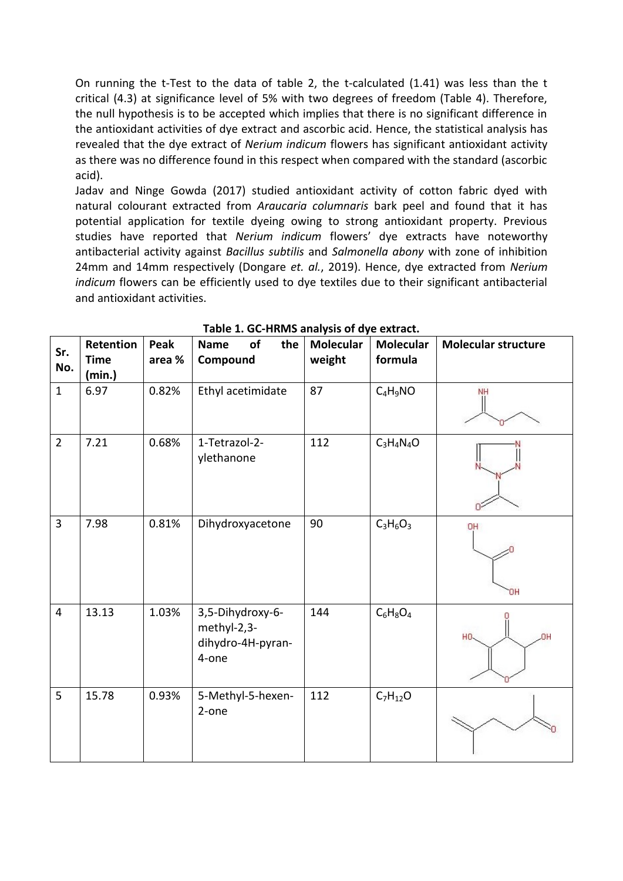On running the t-Test to the data of table 2, the t-calculated (1.41) was less than the t critical (4.3) at significance level of 5% with two degrees of freedom (Table 4). Therefore, the null hypothesis is to be accepted which implies that there is no significant difference in the antioxidant activities of dye extract and ascorbic acid. Hence, the statistical analysis has revealed that the dye extract of *Nerium indicum* flowers has significant antioxidant activity as there was no difference found in this respect when compared with the standard (ascorbic acid).

Jadav and Ninge Gowda (2017) studied antioxidant activity of cotton fabric dyed with natural colourant extracted from *Araucaria columnaris* bark peel and found that it has potential application for textile dyeing owing to strong antioxidant property. Previous studies have reported that *Nerium indicum* flowers' dye extracts have noteworthy antibacterial activity against *Bacillus subtilis* and *Salmonella abony* with zone of inhibition 24mm and 14mm respectively (Dongare *et. al.*, 2019). Hence, dye extracted from *Nerium indicum* flowers can be efficiently used to dye textiles due to their significant antibacterial and antioxidant activities.

| Sr.<br>No.              | Retention<br><b>Time</b> | Peak<br>area % | <b>Name</b><br>of<br>the<br>Compound                          | <b>Molecular</b><br>weight | <b>Molecular</b><br>formula | <b>Molecular structure</b> |
|-------------------------|--------------------------|----------------|---------------------------------------------------------------|----------------------------|-----------------------------|----------------------------|
|                         | (min.)                   |                |                                                               |                            |                             |                            |
| $\mathbf{1}$            | 6.97                     | 0.82%          | Ethyl acetimidate                                             | 87                         | $C_4H_9NO$                  | NH                         |
| $\overline{2}$          | 7.21                     | 0.68%          | 1-Tetrazol-2-<br>ylethanone                                   | 112                        | $C_3H_4N_4O$                |                            |
| 3                       | 7.98                     | 0.81%          | Dihydroxyacetone                                              | 90                         | $C_3H_6O_3$                 | OH<br>'OΗ                  |
| $\overline{\mathbf{4}}$ | 13.13                    | 1.03%          | 3,5-Dihydroxy-6-<br>methyl-2,3-<br>dihydro-4H-pyran-<br>4-one | 144                        | $C_6H_8O_4$                 | HO-<br>OH.                 |
| 5                       | 15.78                    | 0.93%          | 5-Methyl-5-hexen-<br>2-one                                    | 112                        | $C_7H_{12}O$                |                            |

**Table 1. GC-HRMS analysis of dye extract.**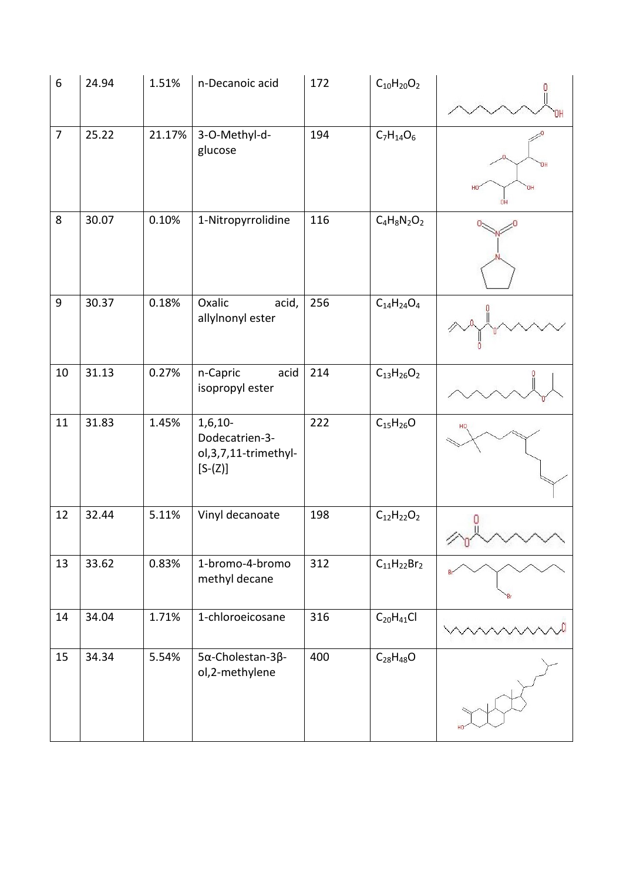| $\boldsymbol{6}$ | 24.94 | 1.51%  | n-Decanoic acid                                                     | 172 | $C_{10}H_{20}O_2$  |                       |
|------------------|-------|--------|---------------------------------------------------------------------|-----|--------------------|-----------------------|
| $\overline{7}$   | 25.22 | 21.17% | 3-O-Methyl-d-<br>glucose                                            | 194 | $C_7H_{14}O_6$     | HO<br><b>HD</b><br>OH |
| 8                | 30.07 | 0.10%  | 1-Nitropyrrolidine                                                  | 116 | $C_4H_8N_2O_2$     |                       |
| $9\,$            | 30.37 | 0.18%  | Oxalic<br>acid,<br>allylnonyl ester                                 | 256 | $C_{14}H_{24}O_4$  |                       |
| 10               | 31.13 | 0.27%  | n-Capric<br>acid<br>isopropyl ester                                 | 214 | $C_{13}H_{26}O_2$  |                       |
| 11               | 31.83 | 1.45%  | $1,6,10-$<br>Dodecatrien-3-<br>ol, 3, 7, 11-trimethyl-<br>$[S-(Z)]$ | 222 | $C_{15}H_{26}O$    |                       |
| 12               | 32.44 | 5.11%  | Vinyl decanoate                                                     | 198 | $C_{12}H_{22}O_2$  | υ.                    |
| 13               | 33.62 | 0.83%  | 1-bromo-4-bromo<br>methyl decane                                    | 312 | $C_{11}H_{22}Br_2$ |                       |
| 14               | 34.04 | 1.71%  | 1-chloroeicosane                                                    | 316 | $C_{20}H_{41}Cl$   |                       |
| 15               | 34.34 | 5.54%  | 5α-Cholestan-3β-<br>ol,2-methylene                                  | 400 | $C_{28}H_{48}O$    |                       |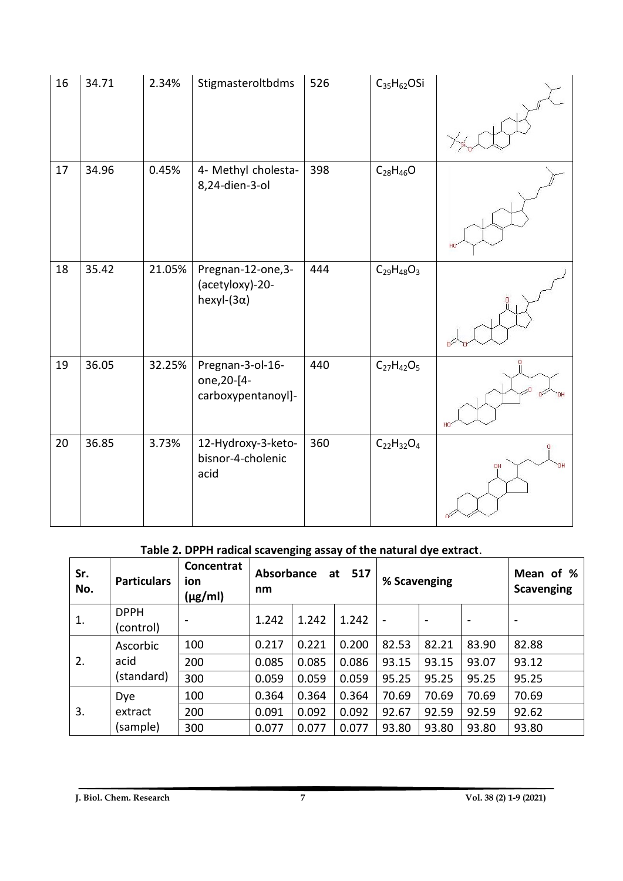| 16 | 34.71 | 2.34%  | Stigmasteroltbdms                                          | 526 | $C_{35}H_{62}OSi$ |    |
|----|-------|--------|------------------------------------------------------------|-----|-------------------|----|
| 17 | 34.96 | 0.45%  | 4- Methyl cholesta-<br>8,24-dien-3-ol                      | 398 | $C_{28}H_{46}O$   |    |
| 18 | 35.42 | 21.05% | Pregnan-12-one,3-<br>(acetyloxy)-20-<br>hexyl- $(3\alpha)$ | 444 | $C_{29}H_{48}O_3$ |    |
| 19 | 36.05 | 32.25% | Pregnan-3-ol-16-<br>one, 20-[4-<br>carboxypentanoyl]-      | 440 | $C_{27}H_{42}O_5$ |    |
| 20 | 36.85 | 3.73%  | 12-Hydroxy-3-keto-<br>bisnor-4-cholenic<br>acid            | 360 | $C_{22}H_{32}O_4$ | OH |

# **Table 2. DPPH radical scavenging assay of the natural dye extract**.

| Sr.<br>No. | <b>Particulars</b>       | <b>Concentrat</b><br>ion<br>$(\mu g/ml)$ | <b>Absorbance</b><br>517<br>at<br>nm |       |       | % Scavenging             |                          | Mean of %<br><b>Scavenging</b> |                          |
|------------|--------------------------|------------------------------------------|--------------------------------------|-------|-------|--------------------------|--------------------------|--------------------------------|--------------------------|
| 1.         | <b>DPPH</b><br>(control) |                                          | 1.242                                | 1.242 | 1.242 | $\overline{\phantom{0}}$ | $\overline{\phantom{a}}$ | $\qquad \qquad \blacksquare$   | $\overline{\phantom{0}}$ |
|            | Ascorbic                 | 100                                      | 0.217                                | 0.221 | 0.200 | 82.53                    | 82.21                    | 83.90                          | 82.88                    |
| 2.         | acid                     | 200                                      | 0.085                                | 0.085 | 0.086 | 93.15                    | 93.15                    | 93.07                          | 93.12                    |
|            | (standard)               | 300                                      | 0.059                                | 0.059 | 0.059 | 95.25                    | 95.25                    | 95.25                          | 95.25                    |
| 3.         | <b>Dye</b>               | 100                                      | 0.364                                | 0.364 | 0.364 | 70.69                    | 70.69                    | 70.69                          | 70.69                    |
|            | extract                  | 200                                      | 0.091                                | 0.092 | 0.092 | 92.67                    | 92.59                    | 92.59                          | 92.62                    |
|            | (sample)                 | 300                                      | 0.077                                | 0.077 | 0.077 | 93.80                    | 93.80                    | 93.80                          | 93.80                    |

**J. Biol. Chem. Research 7 Vol. 38 (2) 1-9 (2021)**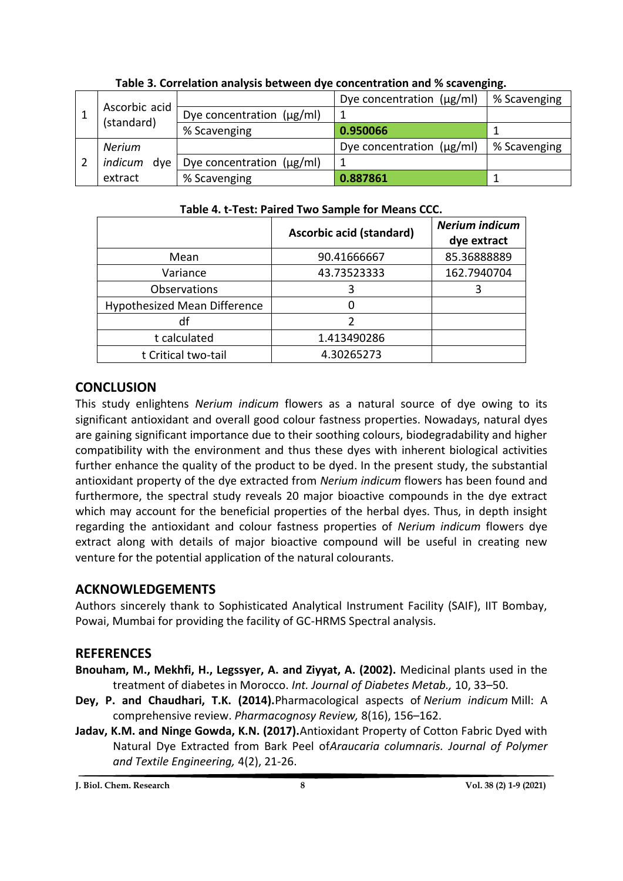|                             |                                | Dye concentration $(\mu g/ml)$ | % Scavenging |
|-----------------------------|--------------------------------|--------------------------------|--------------|
| Ascorbic acid<br>(standard) | Dye concentration $(\mu g/ml)$ |                                |              |
|                             | % Scavenging                   | 0.950066                       |              |
| <b>Nerium</b>               |                                | Dye concentration $(\mu g/ml)$ | % Scavenging |
| indicum<br>dve              | Dye concentration $(\mu g/ml)$ |                                |              |
| extract                     | % Scavenging                   | 0.887861                       |              |

**Table 3. Correlation analysis between dye concentration and % scavenging.**

| Table 4. C-Test. Paired Two Sample for Means CCC. |                                 |                                      |  |  |  |  |
|---------------------------------------------------|---------------------------------|--------------------------------------|--|--|--|--|
|                                                   | <b>Ascorbic acid (standard)</b> | <b>Nerium indicum</b><br>dye extract |  |  |  |  |
| Mean                                              | 90.41666667                     | 85.36888889                          |  |  |  |  |
| Variance                                          | 43.73523333                     | 162.7940704                          |  |  |  |  |
| <b>Observations</b>                               | 3                               |                                      |  |  |  |  |
| Hypothesized Mean Difference                      |                                 |                                      |  |  |  |  |
| df                                                | 2                               |                                      |  |  |  |  |
| t calculated                                      | 1.413490286                     |                                      |  |  |  |  |
| t Critical two-tail                               | 4.30265273                      |                                      |  |  |  |  |

## **Table 4. t-Test: Paired Two Sample for Means CCC.**

## **CONCLUSION**

This study enlightens *Nerium indicum* flowers as a natural source of dye owing to its significant antioxidant and overall good colour fastness properties. Nowadays, natural dyes are gaining significant importance due to their soothing colours, biodegradability and higher compatibility with the environment and thus these dyes with inherent biological activities further enhance the quality of the product to be dyed. In the present study, the substantial antioxidant property of the dye extracted from *Nerium indicum* flowers has been found and furthermore, the spectral study reveals 20 major bioactive compounds in the dye extract which may account for the beneficial properties of the herbal dyes. Thus, in depth insight regarding the antioxidant and colour fastness properties of *Nerium indicum* flowers dye extract along with details of major bioactive compound will be useful in creating new venture for the potential application of the natural colourants.

## **ACKNOWLEDGEMENTS**

Authors sincerely thank to Sophisticated Analytical Instrument Facility (SAIF), IIT Bombay, Powai, Mumbai for providing the facility of GC-HRMS Spectral analysis.

## **REFERENCES**

- **Bnouham, M., Mekhfi, H., Legssyer, A. and Ziyyat, A. (2002).** Medicinal plants used in the treatment of diabetes in Morocco. *Int. Journal of Diabetes Metab.,* 10, 33–50.
- **Dey, P. and Chaudhari, T.K. (2014).**Pharmacological aspects of *Nerium indicum* Mill: A comprehensive review. *Pharmacognosy Review,* 8(16), 156–162.
- **Jadav, K.M. and Ninge Gowda, K.N. (2017).**Antioxidant Property of Cotton Fabric Dyed with Natural Dye Extracted from Bark Peel of*Araucaria columnaris. Journal of Polymer and Textile Engineering,* 4(2), 21-26.